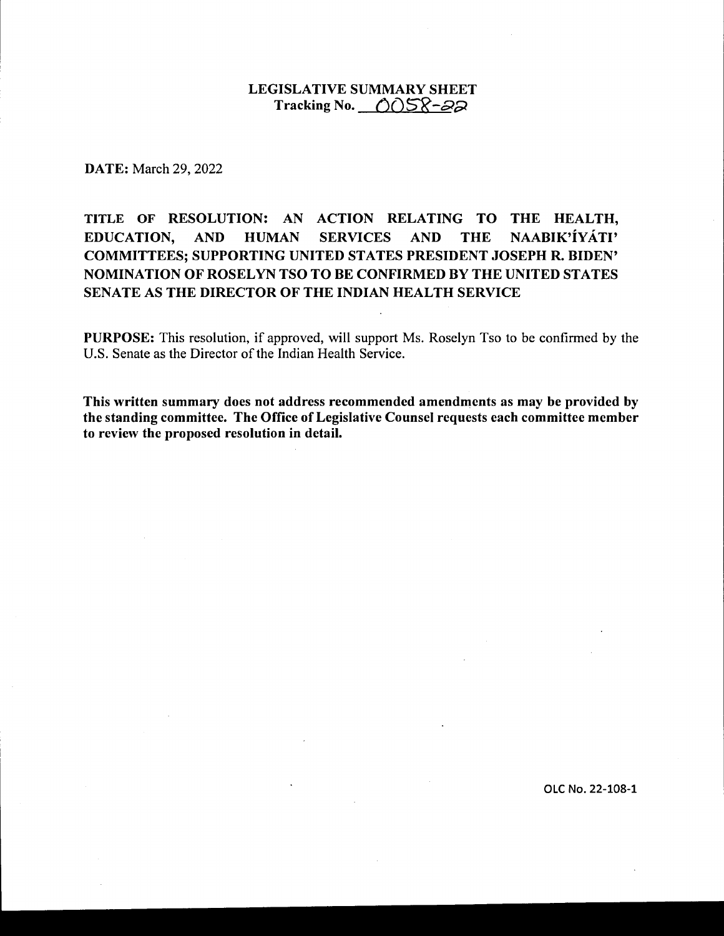## LEGISLATIVE SUMMARY SHEET Tracking No. **0058-22**

DATE: March 29, 2022

# TITLE OF RESOLUTION: AN ACTION RELATING TO THE HEALTH, EDUCATION, AND HUMAN SERVICES AND THE NAABIK'IYATI' COMMITTEES; SUPPORTING UNITED STATES PRESIDENT JOSEPH R. BIDEN' NOMINATION OF ROSELYN TSO TO BE CONFIRMED BY THE UNITED STATES SENATE AS THE DIRECTOR OF THE INDIAN HEALTH SERVICE

PURPOSE: This resolution, if approved, will support Ms. Roselyn Tso to be confirmed by the U.S. Senate as the Director of the Indian Health Service.

This written summary does not address recommended amendments as may be provided by the standing committee. The Office of Legislative Counsel requests each committee member to review the proposed resolution in detail.

OLC No. 22-108-1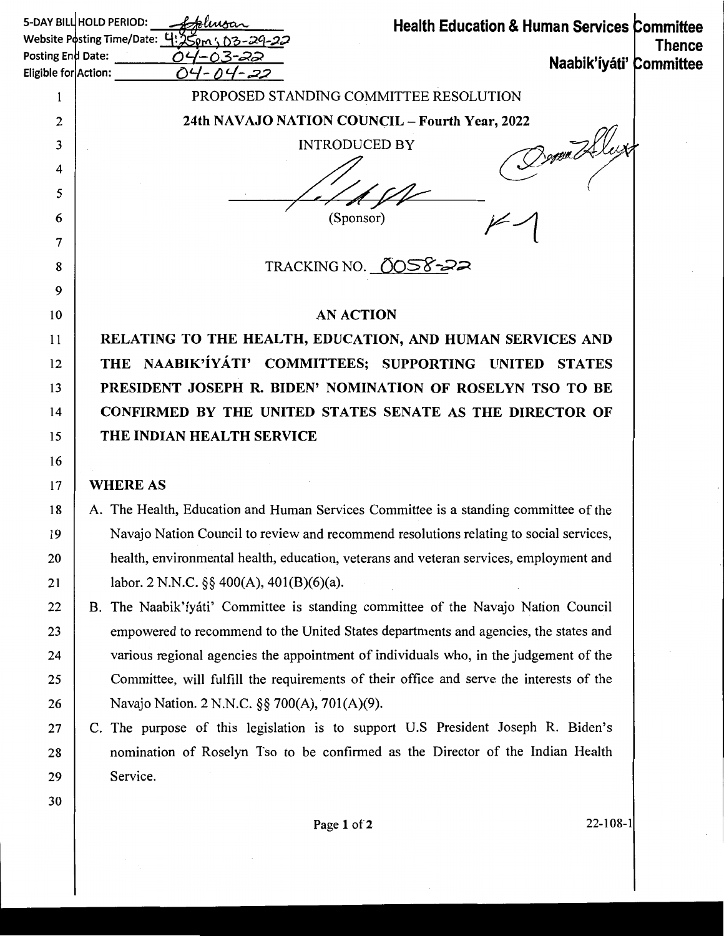| 5-DAY BILL HOLD PERIOD:<br><b>Health Education &amp; Human Services Committee</b><br>Website Posting Time/Date: 4:250m; 03-29-22 |                                                                                         |               |  |
|----------------------------------------------------------------------------------------------------------------------------------|-----------------------------------------------------------------------------------------|---------------|--|
| Posting End Date:                                                                                                                | Naabik'íyáti' Committee                                                                 | <b>Thence</b> |  |
| Eligible for Action:                                                                                                             |                                                                                         |               |  |
| 1                                                                                                                                | PROPOSED STANDING COMMITTEE RESOLUTION                                                  |               |  |
| 2                                                                                                                                | 24th NAVAJO NATION COUNCIL - Fourth Year, 2022                                          |               |  |
| 3                                                                                                                                | <b>INTRODUCED BY</b>                                                                    |               |  |
| 4                                                                                                                                |                                                                                         |               |  |
| 5                                                                                                                                |                                                                                         |               |  |
| 6                                                                                                                                | (Sponsor)                                                                               |               |  |
| 7                                                                                                                                |                                                                                         |               |  |
| 8                                                                                                                                | TRACKING NO. 0058-22                                                                    |               |  |
| 9                                                                                                                                |                                                                                         |               |  |
| 10                                                                                                                               | <b>AN ACTION</b>                                                                        |               |  |
| 11                                                                                                                               | RELATING TO THE HEALTH, EDUCATION, AND HUMAN SERVICES AND                               |               |  |
| 12                                                                                                                               | THE NAABIK'IYATI' COMMITTEES; SUPPORTING UNITED STATES                                  |               |  |
| 13                                                                                                                               | PRESIDENT JOSEPH R. BIDEN' NOMINATION OF ROSELYN TSO TO BE                              |               |  |
| 14                                                                                                                               | CONFIRMED BY THE UNITED STATES SENATE AS THE DIRECTOR OF                                |               |  |
| 15                                                                                                                               | THE INDIAN HEALTH SERVICE                                                               |               |  |
| 16                                                                                                                               |                                                                                         |               |  |
| 17                                                                                                                               | <b>WHERE AS</b>                                                                         |               |  |
| 18                                                                                                                               | A. The Health, Education and Human Services Committee is a standing committee of the    |               |  |
| 19                                                                                                                               | Navajo Nation Council to review and recommend resolutions relating to social services,  |               |  |
| 20                                                                                                                               | health, environmental health, education, veterans and veteran services, employment and  |               |  |
| 21                                                                                                                               | labor. 2 N.N.C. $\S\S 400(A)$ , 401(B)(6)(a).                                           |               |  |
| 22                                                                                                                               | B. The Naabik'iyáti' Committee is standing committee of the Navajo Nation Council       |               |  |
| 23                                                                                                                               | empowered to recommend to the United States departments and agencies, the states and    |               |  |
| 24                                                                                                                               | various regional agencies the appointment of individuals who, in the judgement of the   |               |  |
| 25                                                                                                                               | Committee, will fulfill the requirements of their office and serve the interests of the |               |  |
| 26                                                                                                                               | Navajo Nation. 2 N.N.C. §§ 700(A), 701(A)(9).                                           |               |  |
| 27                                                                                                                               | C. The purpose of this legislation is to support U.S President Joseph R. Biden's        |               |  |
| 28                                                                                                                               | nomination of Roselyn Tso to be confirmed as the Director of the Indian Health          |               |  |
| 29                                                                                                                               | Service.                                                                                |               |  |

 $\bar{z}$ 

30

 $\frac{1}{2}$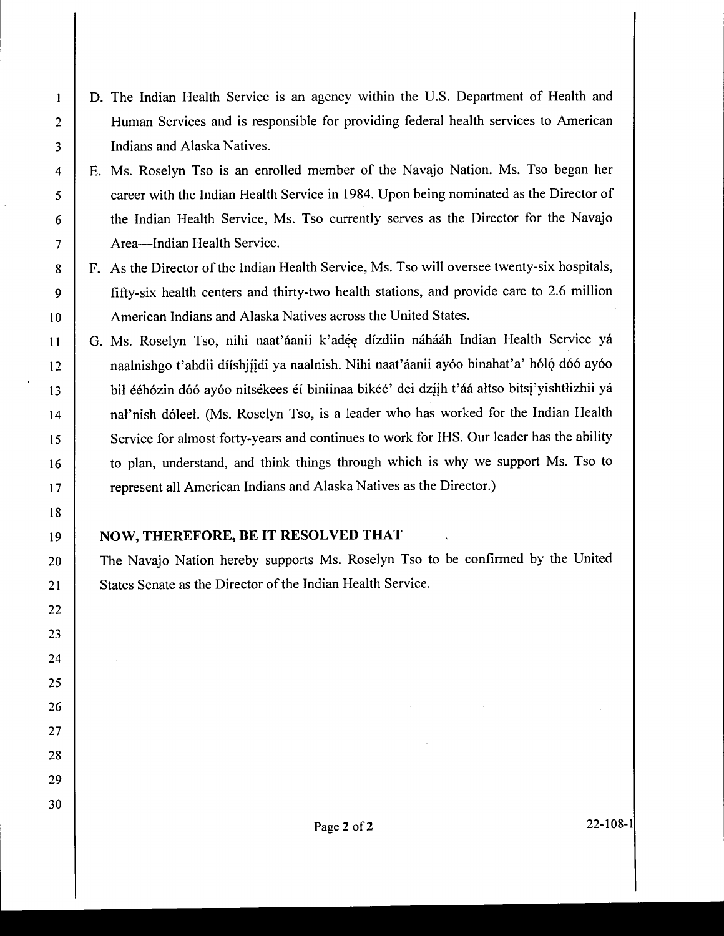- D. The Indian Health Service is an agency within the U.S. Department of Health and Human Services and is responsible for providing federal health services to American Indians and Alaska Natives.
- E. Ms. Roselyn Tso is an enrolled member of the Navajo Nation. Ms. Tso began her career with the Indian Health Service in 1984. Upon being nominated as the Director of the Indian Health Service, Ms. Tso currently serves as the Director for the Navajo Area-Indian Health Service.
- F. As the Director of the Indian Health Service, Ms. Tso will oversee twenty-six hospitals, fifty-six health centers and thirty-two health stations, and provide care to 2.6 million American Indians and Alaska Natives across the United States.
- G. Ms. Roselyn Tso, nihi naat'áanii k'adée dízdiin náhááh Indian Health Service yá naalnishgo t'ahdii díishijidi ya naalnish. Nihi naat'áanii ayóo binahat'a' hóló dóó ayóo bił ééhózin dóó ayóo nitsékees éí biniinaa bikéé' dei dzíjh t'áá ałtso bitsj'yishtłizhii yá nal'nish d6leel. (Ms. Roselyn Tso, is a leader who has worked for the Indian Health Service for almost forty-years and continues to work for IHS. Our leader has the ability to plan, understand, and think things through which is why we support Ms. Tso to represent all American Indians and Alaska Natives as the Director.)

## **NOW, THEREFORE, BE IT RESOLVED THAT**

The Navajo Nation hereby supports Ms. Roselyn Tso to be confirmed by the United States Senate as the Director of the Indian Health Service.

1

2

3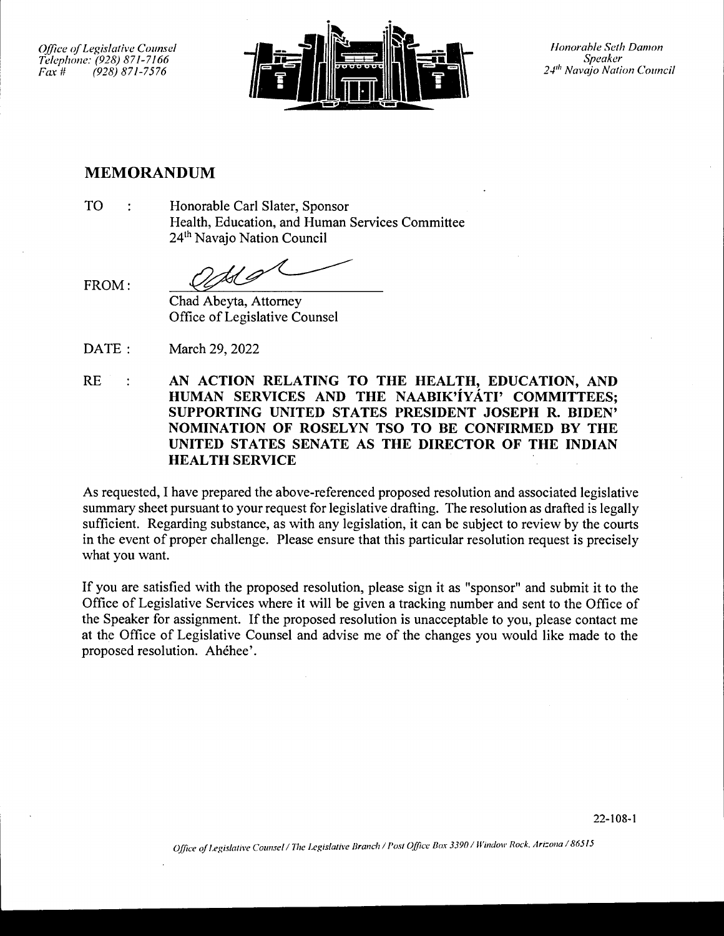*Office of legislative Counsel Telephone: (928) 871-7166* 

FROM:



*Speaker 2-1'" Navajo Nation Council* 

# **MEMORANDUM**

TO Honorable Carl Slater, Sponsor  $\mathbf{r}$ Health, Education, and Human Services Committee 24<sup>th</sup> Navajo Nation Council

tsl G

Chad Abeyta, Attorney Office of Legislative Counsel

- DATE: March 29, 2022
- **AN ACTION RELATING TO THE HEALTH, EDUCATION, AND**  RE  $\ddot{\cdot}$ **HUMAN SERVICES AND THE NAABIK'iYATI' COMMITTEES; SUPPORTING UNITED STATES PRESIDENT JOSEPH R. BIDEN' NOMINATION OF ROSELYN TSO TO BE CONFIRMED BY THE UNITED STATES SENATE AS THE DIRECTOR OF THE INDIAN HEALTH SERVICE**

As requested, I have prepared the above-referenced proposed resolution and associated legislative summary sheet pursuant to your request for legislative drafting. The resolution as drafted is legally sufficient. Regarding substance, as with any legislation, it can be subject to review by the courts in the event of proper challenge. Please ensure that this particular resolution request is precisely what you want.

If you are satisfied with the proposed resolution, please sign it as "sponsor" and submit it to the Office of Legislative Services where it will be given a tracking number and sent to the Office of the Speaker for assignment. If the proposed resolution is unacceptable to you, please contact me at the Office of Legislative Counsel and advise me of the changes you would like made to the proposed resolution. Ahehee'.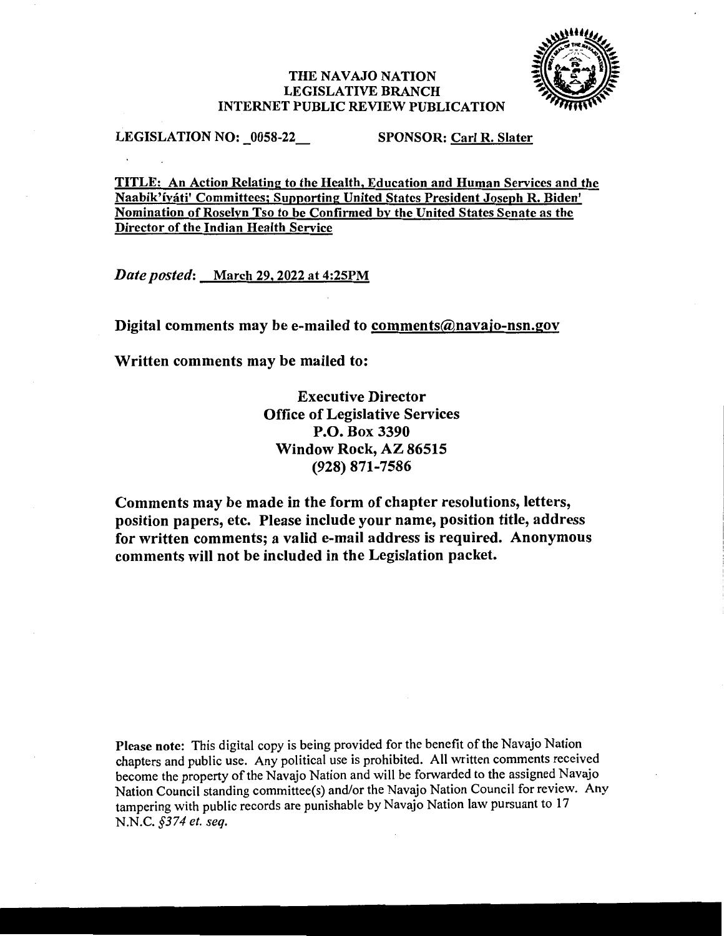#### THE NAVAJO NATION LEGISLATIVE BRANCH INTERNET PUBLIC REVIEW PUBLICATION



LEGISLATION NO: 0058-22 SPONSOR: Carl R. Slater

TITLE: An Action Relating to the Health, Education and Human Services and the Naabik'iyati' Committees; Supporting United States President Joseph R. Biden' Nomination of Roselyn Tso to be Confirmed by the United States Senate as the Director of the Indian Health Service

*Date posted:* March 29, 2022 at 4:25PM

Digital comments may be e-mailed to comments@navajo-nsn.gov

Written comments may be mailed to:

Executive Director Office of Legislative Services P.O. Box 3390 Window Rock, AZ 86515 (928) 871-7586

Comments may be made in the form of chapter resolutions, letters, position papers, etc. Please include your name, position title, address for written comments; a valid e-mail address is required. Anonymous comments will not be included in the Legislation packet.

Please note: This digital copy is being provided for the benefit of the Navajo Nation chapters and public use. Any political use is prohibited. All written comments received become the property of the Navajo Nation and will be forwarded to the assigned Navajo Nation Council standing committee(s) and/or the Navajo Nation Council for review. Any tampering with public records are punishable by Navajo Nation law pursuant to 17 N.N.C. *§374 et. seq.*